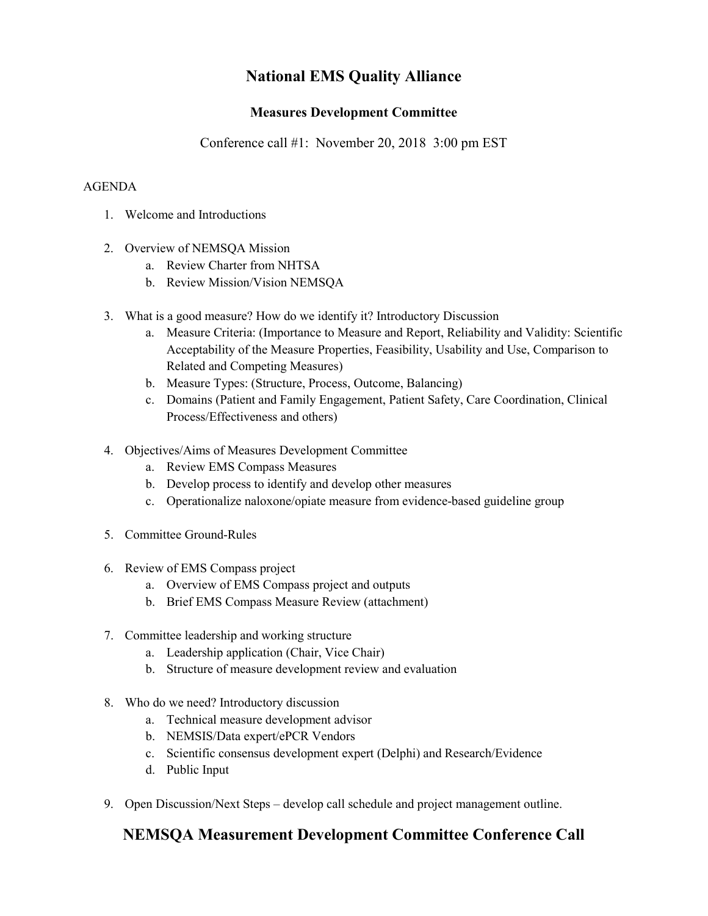# **National EMS Quality Alliance**

### **Measures Development Committee**

Conference call #1: November 20, 2018 3:00 pm EST

#### AGENDA

- 1. Welcome and Introductions
- 2. Overview of NEMSQA Mission
	- a. Review Charter from NHTSA
	- b. Review Mission/Vision NEMSQA
- 3. What is a good measure? How do we identify it? Introductory Discussion
	- a. Measure Criteria: (Importance to Measure and Report, Reliability and Validity: Scientific Acceptability of the Measure Properties, Feasibility, Usability and Use, Comparison to Related and Competing Measures)
	- b. Measure Types: (Structure, Process, Outcome, Balancing)
	- c. Domains (Patient and Family Engagement, Patient Safety, Care Coordination, Clinical Process/Effectiveness and others)
- 4. Objectives/Aims of Measures Development Committee
	- a. Review EMS Compass Measures
	- b. Develop process to identify and develop other measures
	- c. Operationalize naloxone/opiate measure from evidence-based guideline group
- 5. Committee Ground-Rules
- 6. Review of EMS Compass project
	- a. Overview of EMS Compass project and outputs
	- b. Brief EMS Compass Measure Review (attachment)
- 7. Committee leadership and working structure
	- a. Leadership application (Chair, Vice Chair)
	- b. Structure of measure development review and evaluation
- 8. Who do we need? Introductory discussion
	- a. Technical measure development advisor
	- b. NEMSIS/Data expert/ePCR Vendors
	- c. Scientific consensus development expert (Delphi) and Research/Evidence
	- d. Public Input
- 9. Open Discussion/Next Steps develop call schedule and project management outline.

## **NEMSQA Measurement Development Committee Conference Call**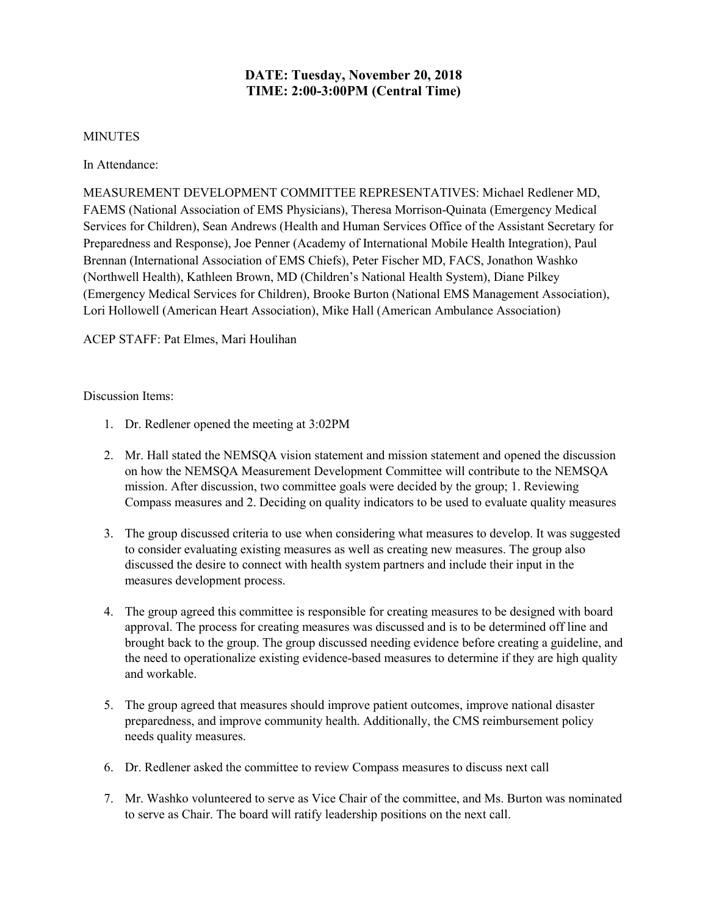### **DATE: Tuesday, November 20, 2018 TIME: 2:00-3:00PM (Central Time)**

#### **MINUTES**

In Attendance:

MEASUREMENT DEVELOPMENT COMMITTEE REPRESENTATIVES: Michael Redlener MD, FAEMS (National Association of EMS Physicians), Theresa Morrison-Quinata (Emergency Medical Services for Children), Sean Andrews (Health and Human Services Office of the Assistant Secretary for Preparedness and Response), Joe Penner (Academy of International Mobile Health Integration), Paul Brennan (International Association of EMS Chiefs), Peter Fischer MD, FACS, Jonathon Washko (Northwell Health), Kathleen Brown, MD (Children's National Health System), Diane Pilkey (Emergency Medical Services for Children), Brooke Burton (National EMS Management Association), Lori Hollowell (American Heart Association), Mike Hall (American Ambulance Association)

ACEP STAFF: Pat Elmes, Mari Houlihan

Discussion Items:

- 1. Dr. Redlener opened the meeting at 3:02PM
- 2. Mr. Hall stated the NEMSQA vision statement and mission statement and opened the discussion on how the NEMSQA Measurement Development Committee will contribute to the NEMSQA mission. After discussion, two committee goals were decided by the group; 1. Reviewing Compass measures and 2. Deciding on quality indicators to be used to evaluate quality measures
- 3. The group discussed criteria to use when considering what measures to develop. It was suggested to consider evaluating existing measures as well as creating new measures. The group also discussed the desire to connect with health system partners and include their input in the measures development process.
- 4. The group agreed this committee is responsible for creating measures to be designed with board approval. The process for creating measures was discussed and is to be determined off line and brought back to the group. The group discussed needing evidence before creating a guideline, and the need to operationalize existing evidence-based measures to determine if they are high quality and workable.
- 5. The group agreed that measures should improve patient outcomes, improve national disaster preparedness, and improve community health. Additionally, the CMS reimbursement policy needs quality measures.
- 6. Dr. Redlener asked the committee to review Compass measures to discuss next call
- 7. Mr. Washko volunteered to serve as Vice Chair of the committee, and Ms. Burton was nominated to serve as Chair. The board will ratify leadership positions on the next call.